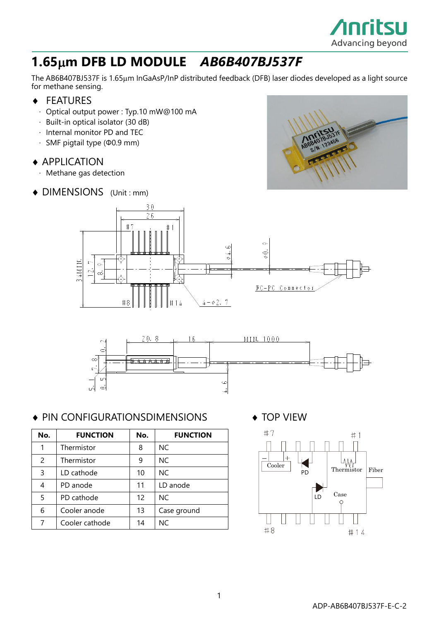

# **1.65m DFB LD MODULE** *AB6B407BJ537F*

The AB6B407BJ537F is 1.65µm InGaAsP/InP distributed feedback (DFB) laser diodes developed as a light source for methane sensing.

- ◆ FEATURES
	- · Optical output power : Typ.10 mW@100 mA
	- · Built-in optical isolator (30 dB)
	- · Internal monitor PD and TEC
	- · SMF pigtail type (Φ0.9 mm)

#### ◆ APPLICATION

- · Methane gas detection
- ◆ DIMENSIONS (Unit : mm)







### ◆ PIN CONFIGURATIONSDIMENSIONS ◆ TOP VIEW

| No. | <b>FUNCTION</b> | No. | <b>FUNCTION</b> |
|-----|-----------------|-----|-----------------|
|     | Thermistor      | 8   | NC.             |
| 2   | Thermistor      | 9   | NC.             |
| 3   | LD cathode      | 10  | NC.             |
| 4   | PD anode        | 11  | LD anode        |
| 5   | PD cathode      | 12  | NC.             |
| 6   | Cooler anode    | 13  | Case ground     |
|     | Cooler cathode  | 14  | NC.             |